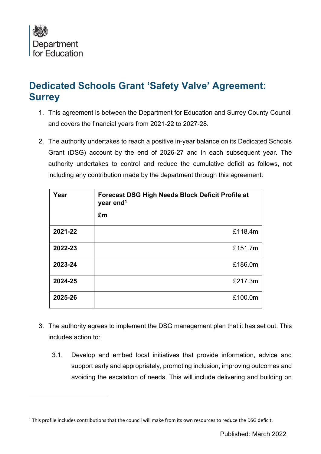

## **Dedicated Schools Grant 'Safety Valve' Agreement: Surrey**

- 1. This agreement is between the Department for Education and Surrey County Council and covers the financial years from 2021-22 to 2027-28.
- 2. The authority undertakes to reach a positive in-year balance on its Dedicated Schools Grant (DSG) account by the end of 2026-27 and in each subsequent year. The authority undertakes to control and reduce the cumulative deficit as follows, not including any contribution made by the department through this agreement:

| Year    | <b>Forecast DSG High Needs Block Deficit Profile at</b><br>year end <sup>1</sup><br>£m |
|---------|----------------------------------------------------------------------------------------|
| 2021-22 | £118.4m                                                                                |
| 2022-23 | £151.7m                                                                                |
| 2023-24 | £186.0m                                                                                |
| 2024-25 | £217.3m                                                                                |
| 2025-26 | £100.0m                                                                                |

- 3. The authority agrees to implement the DSG management plan that it has set out. This includes action to:
	- 3.1. Develop and embed local initiatives that provide information, advice and support early and appropriately, promoting inclusion, improving outcomes and avoiding the escalation of needs. This will include delivering and building on

 $1$  This profile includes contributions that the council will make from its own resources to reduce the DSG deficit.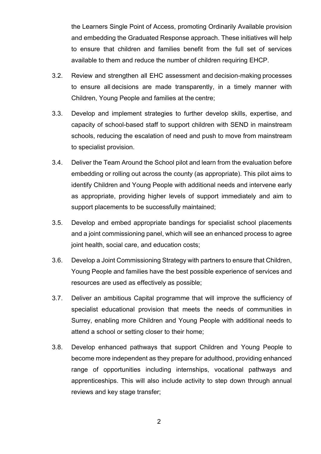the Learners Single Point of Access, promoting Ordinarily Available provision and embedding the Graduated Response approach. These initiatives will help to ensure that children and families benefit from the full set of services available to them and reduce the number of children requiring EHCP.

- 3.2. Review and strengthen all EHC assessment and decision-making processes to ensure all decisions are made transparently, in a timely manner with Children, Young People and families at the centre;
- 3.3. Develop and implement strategies to further develop skills, expertise, and capacity of school-based staff to support children with SEND in mainstream schools, reducing the escalation of need and push to move from mainstream to specialist provision.
- 3.4. Deliver the Team Around the School pilot and learn from the evaluation before embedding or rolling out across the county (as appropriate). This pilot aims to identify Children and Young People with additional needs and intervene early as appropriate, providing higher levels of support immediately and aim to support placements to be successfully maintained;
- 3.5. Develop and embed appropriate bandings for specialist school placements and a joint commissioning panel, which will see an enhanced process to agree joint health, social care, and education costs;
- 3.6. Develop a Joint Commissioning Strategy with partners to ensure that Children, Young People and families have the best possible experience of services and resources are used as effectively as possible;
- 3.7. Deliver an ambitious Capital programme that will improve the sufficiency of specialist educational provision that meets the needs of communities in Surrey, enabling more Children and Young People with additional needs to attend a school or setting closer to their home;
- 3.8. Develop enhanced pathways that support Children and Young People to become more independent as they prepare for adulthood, providing enhanced range of opportunities including internships, vocational pathways and apprenticeships. This will also include activity to step down through annual reviews and key stage transfer;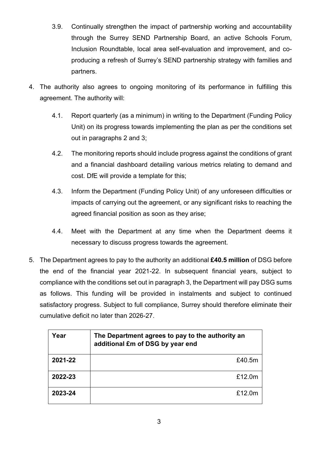- 3.9. Continually strengthen the impact of partnership working and accountability through the Surrey SEND Partnership Board, an active Schools Forum, Inclusion Roundtable, local area self-evaluation and improvement, and coproducing a refresh of Surrey's SEND partnership strategy with families and partners.
- 4. The authority also agrees to ongoing monitoring of its performance in fulfilling this agreement. The authority will:
	- 4.1. Report quarterly (as a minimum) in writing to the Department (Funding Policy Unit) on its progress towards implementing the plan as per the conditions set out in paragraphs 2 and 3;
	- 4.2. The monitoring reports should include progress against the conditions of grant and a financial dashboard detailing various metrics relating to demand and cost. DfE will provide a template for this;
	- 4.3. Inform the Department (Funding Policy Unit) of any unforeseen difficulties or impacts of carrying out the agreement, or any significant risks to reaching the agreed financial position as soon as they arise;
	- 4.4. Meet with the Department at any time when the Department deems it necessary to discuss progress towards the agreement.
- 5. The Department agrees to pay to the authority an additional **£40.5 million** of DSG before the end of the financial year 2021-22. In subsequent financial years, subject to compliance with the conditions set out in paragraph 3, the Department will pay DSG sums as follows. This funding will be provided in instalments and subject to continued satisfactory progress. Subject to full compliance, Surrey should therefore eliminate their cumulative deficit no later than 2026-27.

| Year    | The Department agrees to pay to the authority an<br>additional £m of DSG by year end |
|---------|--------------------------------------------------------------------------------------|
| 2021-22 | £40.5m                                                                               |
| 2022-23 | £12.0m                                                                               |
| 2023-24 | £12.0m                                                                               |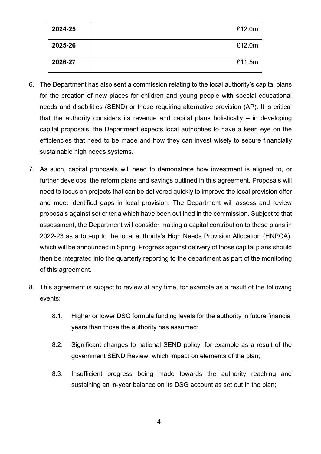| 2024-25 | £12.0m |
|---------|--------|
| 2025-26 | £12.0m |
| 2026-27 | £11.5m |

- 6. The Department has also sent a commission relating to the local authority's capital plans for the creation of new places for children and young people with special educational needs and disabilities (SEND) or those requiring alternative provision (AP). It is critical that the authority considers its revenue and capital plans holistically  $-$  in developing capital proposals, the Department expects local authorities to have a keen eye on the efficiencies that need to be made and how they can invest wisely to secure financially sustainable high needs systems.
- 7. As such, capital proposals will need to demonstrate how investment is aligned to, or further develops, the reform plans and savings outlined in this agreement. Proposals will need to focus on projects that can be delivered quickly to improve the local provision offer and meet identified gaps in local provision. The Department will assess and review proposals against set criteria which have been outlined in the commission. Subject to that assessment, the Department will consider making a capital contribution to these plans in 2022-23 as a top-up to the local authority's High Needs Provision Allocation (HNPCA), which will be announced in Spring. Progress against delivery of those capital plans should then be integrated into the quarterly reporting to the department as part of the monitoring of this agreement.
- 8. This agreement is subject to review at any time, for example as a result of the following events:
	- 8.1. Higher or lower DSG formula funding levels for the authority in future financial years than those the authority has assumed;
	- 8.2. Significant changes to national SEND policy, for example as a result of the government SEND Review, which impact on elements of the plan;
	- 8.3. Insufficient progress being made towards the authority reaching and sustaining an in-year balance on its DSG account as set out in the plan;